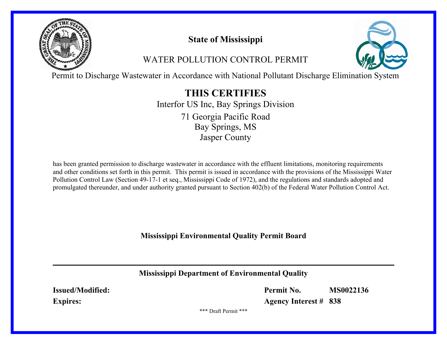

# **State of Mississippi**

# WATER POLLUTION CONTROL PERMIT



Permit to Discharge Wastewater in Accordance with National Pollutant Discharge Elimination System

# **THIS CERTIFIES**

Interfor US Inc, Bay Springs Division Bay Springs, MS Jasper County 71 Georgia Pacific Road

has been granted permission to discharge wastewater in accordance with the effluent limitations, monitoring requirements and other conditions set forth in this permit. This permit is issued in accordance with the provisions of the Mississippi Water Pollution Control Law (Section 49-17-1 et seq., Mississippi Code of 1972), and the regulations and standards adopted and promulgated thereunder, and under authority granted pursuant to Section 402(b) of the Federal Water Pollution Control Act.

**Mississippi Environmental Quality Permit Board**

**Mississippi Department of Environmental Quality**

**Issued/Modified: Expires:**

**Permit No. MS0022136**

**Agency Interest # 838**

\*\*\* Draft Permit \*\*\*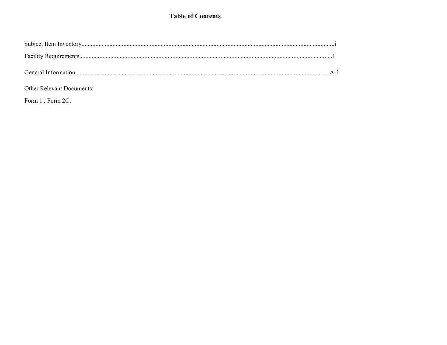### **Table of Contents**

### Other Relevant Documents:

Form 1, Form 2C,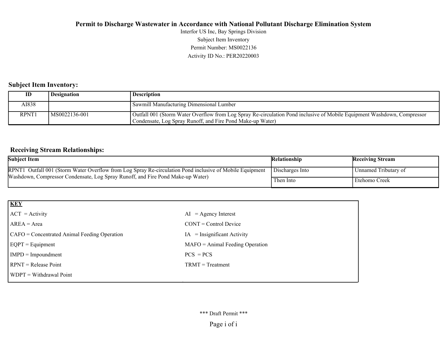Activity ID No.: PER20220003 Permit Number: MS0022136 Subject Item Inventory Interfor US Inc, Bay Springs Division

#### **Subject Item Inventory:**

|             | <b>Designation</b> | <b>Description</b>                                                                                                                                                                    |
|-------------|--------------------|---------------------------------------------------------------------------------------------------------------------------------------------------------------------------------------|
| AI838       |                    | <b>Sawmill Manufacturing Dimensional Lumber</b>                                                                                                                                       |
| <b>RPNT</b> | MS0022136-001      | Outfall 001 (Storm Water Overflow from Log Spray Re-circulation Pond inclusive of Mobile Equipment Washdown, Compressor<br>Condensate, Log Spray Runoff, and Fire Pond Make-up Water) |

### **Receiving Stream Relationships:**

| <b>Subject Item</b>                                                                                                                                                                         | Relationship    | <b>Receiving Stream</b> |
|---------------------------------------------------------------------------------------------------------------------------------------------------------------------------------------------|-----------------|-------------------------|
| RPNT1 Outfall 001 (Storm Water Overflow from Log Spray Re-circulation Pond inclusive of Mobile Equipment<br>Washdown, Compressor Condensate, Log Spray Runoff, and Fire Pond Make-up Water) | Discharges Into | Unnamed Tributary of    |
|                                                                                                                                                                                             | Then Into       | Etehomo Creek           |

| $AI = Agency Interest$            |
|-----------------------------------|
| $CONT = Control$ Device           |
| $IA = Insignificant Activity$     |
| $MAFO = Animal Feeding Operation$ |
| $PCS = PCs$                       |
| $TRMT = Treatment$                |
|                                   |
|                                   |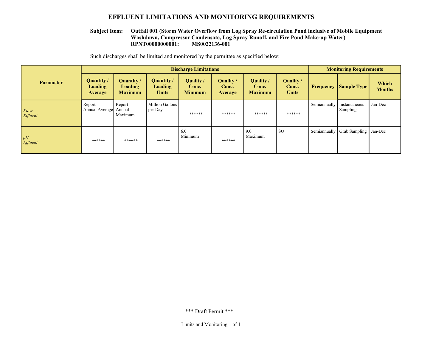#### **EFFLUENT LIMITATIONS AND MONITORING REQUIREMENTS**

#### **RPNT00000000001: MS0022136-001 Outfall 001 (Storm Water Overflow from Log Spray Re-circulation Pond inclusive of Mobile Equipment Washdown, Compressor Condensate, Log Spray Runoff, and Fire Pond Make-up Water) Subject Item:**

Such discharges shall be limited and monitored by the permittee as specified below:

|                  | <b>Discharge Limitations</b>                   |                                                       |                                                     |                                             |                                             |                                             | <b>Monitoring Requirements</b>            |              |                           |                        |
|------------------|------------------------------------------------|-------------------------------------------------------|-----------------------------------------------------|---------------------------------------------|---------------------------------------------|---------------------------------------------|-------------------------------------------|--------------|---------------------------|------------------------|
| <b>Parameter</b> | <b>Quantity</b> /<br><b>Loading</b><br>Average | <b>Quantity</b> /<br><b>Loading</b><br><b>Maximum</b> | <b>Quantity /</b><br><b>Loading</b><br><b>Units</b> | <b>Quality</b> /<br>Conc.<br><b>Minimum</b> | <b>Quality</b> /<br>Conc.<br><b>Average</b> | <b>Quality</b> /<br>Conc.<br><b>Maximum</b> | <b>Quality</b> /<br>Conc.<br><b>Units</b> | Frequency    | <b>Sample Type</b>        | Which<br><b>Months</b> |
| Flow<br>Effluent | Report<br>Annual Average                       | Report<br>Annual<br>Maximum                           | Million Gallons<br>per Day                          | ******                                      | ******                                      | ******                                      | ******                                    | Semiannually | Instantaneous<br>Sampling | Jan-Dec                |
| pH<br>Effluent   | ******                                         | ******                                                | ******                                              | 6.0<br>Minimum                              | ******                                      | 9.0<br>Maximum                              | <b>SU</b>                                 | Semiannually | <b>Grab Sampling</b>      | Jan-Dec                |

\*\*\* Draft Permit \*\*\*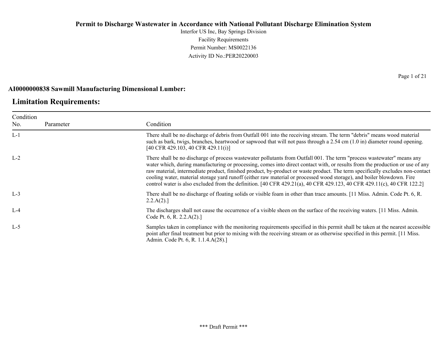Interfor US Inc, Bay Springs Division Facility Requirements Permit Number: MS0022136 Activity ID No.:PER20220003

#### **AI0000000838 Sawmill Manufacturing Dimensional Lumber:**

### **Limitation Requirements:**

| Condition |           |                                                                                                                                                                                                                                                                                                                                                                                                                                                                                                                                                                                                                                              |
|-----------|-----------|----------------------------------------------------------------------------------------------------------------------------------------------------------------------------------------------------------------------------------------------------------------------------------------------------------------------------------------------------------------------------------------------------------------------------------------------------------------------------------------------------------------------------------------------------------------------------------------------------------------------------------------------|
| No.       | Parameter | Condition                                                                                                                                                                                                                                                                                                                                                                                                                                                                                                                                                                                                                                    |
| $L-1$     |           | There shall be no discharge of debris from Outfall 001 into the receiving stream. The term "debris" means wood material<br>such as bark, twigs, branches, heartwood or sapwood that will not pass through a 2.54 cm (1.0 in) diameter round opening.<br>[40 CFR 429.103, 40 CFR 429.11(i)]                                                                                                                                                                                                                                                                                                                                                   |
| $L-2$     |           | There shall be no discharge of process wastewater pollutants from Outfall 001. The term "process wastewater" means any<br>water which, during manufacturing or processing, comes into direct contact with, or results from the production or use of any<br>raw material, intermediate product, finished product, by-product or waste product. The term specifically excludes non-contact<br>cooling water, material storage yard runoff (either raw material or processed wood storage), and boiler blowdown. Fire<br>control water is also excluded from the definition. [40 CFR 429.21(a), 40 CFR 429.123, 40 CFR 429.11(c), 40 CFR 122.2] |
| $L-3$     |           | There shall be no discharge of floating solids or visible foam in other than trace amounts. [11 Miss. Admin. Code Pt. 6, R.<br>2.2.A(2).                                                                                                                                                                                                                                                                                                                                                                                                                                                                                                     |
| $L-4$     |           | The discharges shall not cause the occurrence of a visible sheen on the surface of the receiving waters. [11 Miss. Admin.<br>Code Pt. 6, R. 2.2.A(2).]                                                                                                                                                                                                                                                                                                                                                                                                                                                                                       |
| $L-5$     |           | Samples taken in compliance with the monitoring requirements specified in this permit shall be taken at the nearest accessible<br>point after final treatment but prior to mixing with the receiving stream or as otherwise specified in this permit. [11 Miss.<br>Admin. Code Pt. 6, R. 1.1.4.A(28).]                                                                                                                                                                                                                                                                                                                                       |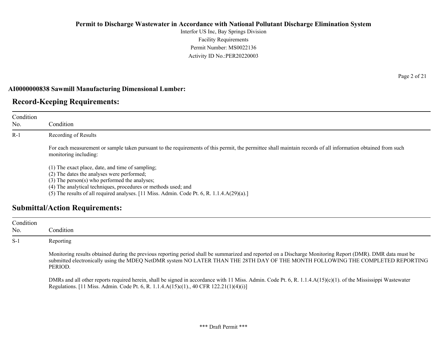Interfor US Inc, Bay Springs Division Facility Requirements Permit Number: MS0022136 Activity ID No.:PER20220003

#### **AI0000000838 Sawmill Manufacturing Dimensional Lumber:**

### **Record-Keeping Requirements:**

| Condition<br>No. | Condition                                                                                                                                                                                                                                                                                                                                                      |
|------------------|----------------------------------------------------------------------------------------------------------------------------------------------------------------------------------------------------------------------------------------------------------------------------------------------------------------------------------------------------------------|
| $R-1$            | Recording of Results                                                                                                                                                                                                                                                                                                                                           |
|                  | For each measurement or sample taken pursuant to the requirements of this permit, the permittee shall maintain records of all information obtained from such<br>monitoring including:                                                                                                                                                                          |
|                  | (1) The exact place, date, and time of sampling;<br>(2) The dates the analyses were performed;<br>$(3)$ The person $(s)$ who performed the analyses;<br>(4) The analytical techniques, procedures or methods used; and<br>(5) The results of all required analyses. $[11 \text{ Miss. } \text{Admin. } \text{Code Pt. } 6, \text{R. } 1.1.4 \text{A}(29)(a).]$ |
|                  | <b>Submittal/Action Requirements:</b>                                                                                                                                                                                                                                                                                                                          |

### Condition No. Condition S-1 Reporting Monitoring results obtained during the previous reporting period shall be summarized and reported on a Discharge Monitoring Report (DMR). DMR data must be submitted electronically using the MDEQ NetDMR system NO LATER THAN THE 28TH DAY OF THE MONTH FOLLOWING THE COMPLETED REPORTING PERIOD. DMRs and all other reports required herein, shall be signed in accordance with 11 Miss. Admin. Code Pt. 6, R. 1.1.4.A(15)(c)(1). of the Mississippi Wastewater Regulations. [11 Miss. Admin. Code Pt. 6, R. 1.1.4.A(15)c(1)., 40 CFR 122.21(1)(4)(i)]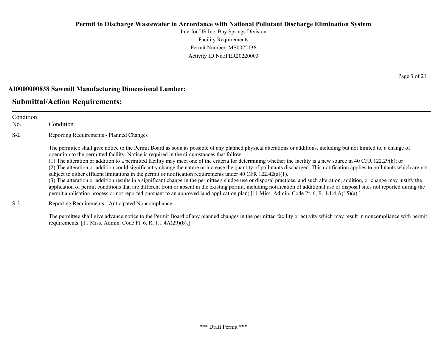Interfor US Inc, Bay Springs Division Facility Requirements Permit Number: MS0022136 Activity ID No.:PER20220003

#### **AI0000000838 Sawmill Manufacturing Dimensional Lumber:**

### **Submittal/Action Requirements:**

| Condition<br>No. | Condition                                                                                                                                                                                                                                                                                                                                                                                                                                                                                                                                                                                                                                                                                                                                                                                                                                                                                                                                                                                                                                                                                                                                                                                                                                               |
|------------------|---------------------------------------------------------------------------------------------------------------------------------------------------------------------------------------------------------------------------------------------------------------------------------------------------------------------------------------------------------------------------------------------------------------------------------------------------------------------------------------------------------------------------------------------------------------------------------------------------------------------------------------------------------------------------------------------------------------------------------------------------------------------------------------------------------------------------------------------------------------------------------------------------------------------------------------------------------------------------------------------------------------------------------------------------------------------------------------------------------------------------------------------------------------------------------------------------------------------------------------------------------|
| $S-2$            | Reporting Requirements - Planned Changes                                                                                                                                                                                                                                                                                                                                                                                                                                                                                                                                                                                                                                                                                                                                                                                                                                                                                                                                                                                                                                                                                                                                                                                                                |
|                  | The permittee shall give notice to the Permit Board as soon as possible of any planned physical alterations or additions, including but not limited to, a change of<br>operation to the permitted facility. Notice is required in the circumstances that follow:<br>(1) The alteration or addition to a permitted facility may meet one of the criteria for determining whether the facility is a new source in 40 CFR 122.29(b); or<br>(2) The alteration or addition could significantly change the nature or increase the quantity of pollutants discharged. This notification applies to pollutants which are not<br>subject to either effluent limitations in the permit or notification requirements under 40 CFR $122.42(a)(1)$ .<br>(3) The alteration or addition results in a significant change in the permittee's sludge use or disposal practices, and such alteration, addition, or change may justify the<br>application of permit conditions that are different from or absent in the existing permit, including notification of additional use or disposal sites not reported during the<br>permit application process or not reported pursuant to an approved land application plan; [11 Miss. Admin. Code Pt. 6, R. 1.1.4.A(15)(a).] |
| $S-3$            | Reporting Requirements - Anticipated Noncompliance                                                                                                                                                                                                                                                                                                                                                                                                                                                                                                                                                                                                                                                                                                                                                                                                                                                                                                                                                                                                                                                                                                                                                                                                      |

The permittee shall give advance notice to the Permit Board of any planned changes in the permitted facility or activity which may result in noncompliance with permit requirements. [11 Miss. Admin. Code Pt. 6, R. 1.1.4A(29)(b).]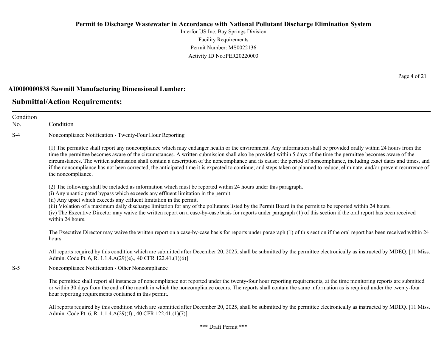Interfor US Inc, Bay Springs Division Facility Requirements Permit Number: MS0022136 Activity ID No.:PER20220003

#### **AI0000000838 Sawmill Manufacturing Dimensional Lumber:**

### **Submittal/Action Requirements:**

Condition No. Condition S-4 Noncompliance Notification - Twenty-Four Hour Reporting (1) The permittee shall report any noncompliance which may endanger health or the environment. Any information shall be provided orally within 24 hours from the time the permittee becomes aware of the circumstances. A written submission shall also be provided within 5 days of the time the permittee becomes aware of the circumstances. The written submission shall contain a description of the noncompliance and its cause; the period of noncompliance, including exact dates and times, and if the noncompliance has not been corrected, the anticipated time it is expected to continue; and steps taken or planned to reduce, eliminate, and/or prevent recurrence of the noncompliance. (2) The following shall be included as information which must be reported within 24 hours under this paragraph. (i) Any unanticipated bypass which exceeds any effluent limitation in the permit. (ii) Any upset which exceeds any effluent limitation in the permit. (iii) Violation of a maximum daily discharge limitation for any of the pollutants listed by the Permit Board in the permit to be reported within 24 hours. (iv) The Executive Director may waive the written report on a case-by-case basis for reports under paragraph (1) of this section if the oral report has been received within 24 hours. The Executive Director may waive the written report on a case-by-case basis for reports under paragraph (1) of this section if the oral report has been received within 24 hours. All reports required by this condition which are submitted after December 20, 2025, shall be submitted by the permittee electronically as instructed by MDEQ. [11 Miss.] Admin. Code Pt. 6, R. 1.1.4.A(29)(e)., 40 CFR 122.41.(1)(6)] S-5 Noncompliance Notification - Other Noncompliance The permittee shall report all instances of noncompliance not reported under the twenty-four hour reporting requirements, at the time monitoring reports are submitted or within 30 days from the end of the month in which the noncompliance occurs. The reports shall contain the same information as is required under the twenty-four hour reporting requirements contained in this permit. All reports required by this condition which are submitted after December 20, 2025, shall be submitted by the permittee electronically as instructed by MDEQ. [11 Miss.] Admin. Code Pt. 6, R. 1.1.4.A(29)(f)., 40 CFR 122.41.(1)(7)]

Page 4 of 21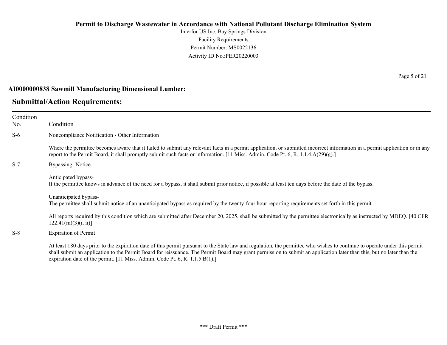Interfor US Inc, Bay Springs Division Facility Requirements Permit Number: MS0022136 Activity ID No.:PER20220003

#### **AI0000000838 Sawmill Manufacturing Dimensional Lumber:**

### **Submittal/Action Requirements:**

Condition No. Condition S-6 Noncompliance Notification - Other Information Where the permittee becomes aware that it failed to submit any relevant facts in a permit application, or submitted incorrect information in a permit application or in any report to the Permit Board, it shall promptly submit such facts or information. [11 Miss. Admin. Code Pt. 6, R. 1.1.4.A(29)(g).] S-7 Bypassing -Notice Anticipated bypass-If the permittee knows in advance of the need for a bypass, it shall submit prior notice, if possible at least ten days before the date of the bypass. Unanticipated bypass-The permittee shall submit notice of an unanticipated bypass as required by the twenty-four hour reporting requirements set forth in this permit. All reports required by this condition which are submitted after December 20, 2025, shall be submitted by the permittee electronically as instructed by MDEQ. [40 CFR  $122.41(m)(3)(i, ii)$ ] S-8 Expiration of Permit

At least 180 days prior to the expiration date of this permit pursuant to the State law and regulation, the permittee who wishes to continue to operate under this permit shall submit an application to the Permit Board for reissuance. The Permit Board may grant permission to submit an application later than this, but no later than the expiration date of the permit. [11 Miss. Admin. Code Pt. 6, R. 1.1.5.B(1).]

Page 5 of 21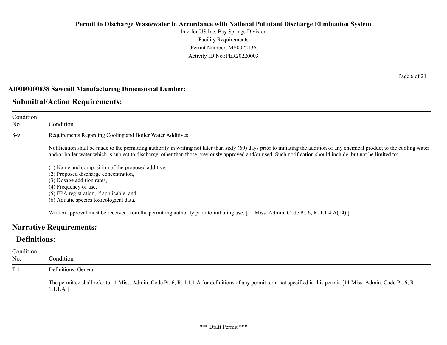Interfor US Inc, Bay Springs Division Facility Requirements Permit Number: MS0022136 Activity ID No.:PER20220003

#### **AI0000000838 Sawmill Manufacturing Dimensional Lumber:**

### **Submittal/Action Requirements:**

Condition No. Condition S-9 Requirements Regarding Cooling and Boiler Water Additives Notification shall be made to the permitting authority in writing not later than sixty (60) days prior to initiating the addition of any chemical product to the cooling water and/or boiler water which is subject to discharge, other than those previously approved and/or used. Such notification should include, but not be limited to: (1) Name and composition of the proposed additive, (2) Proposed discharge concentration, (3) Dosage addition rates, (4) Frequency of use, (5) EPA registration, if applicable, and (6) Aquatic species toxicological data.

Written approval must be received from the permitting authority prior to initiating use. [11 Miss. Admin. Code Pt. 6, R. 1.1.4.A(14).]

### **Narrative Requirements:**

### **Definitions:**

| Condition<br>No. | Condition                                                                                                                                                                         |
|------------------|-----------------------------------------------------------------------------------------------------------------------------------------------------------------------------------|
| $T-1$            | Definitions: General                                                                                                                                                              |
|                  | The permittee shall refer to 11 Miss. Admin. Code Pt. 6, R. 1.1.1.A for definitions of any permit term not specified in this permit. [11 Miss. Admin. Code Pt. 6, R.<br>1.1.1.A.] |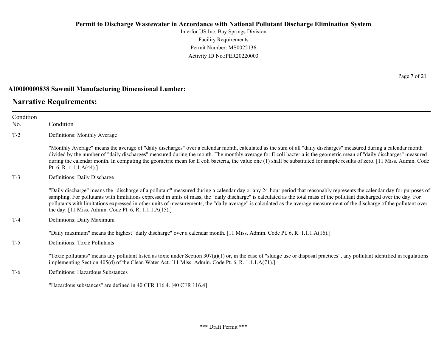Interfor US Inc, Bay Springs Division Facility Requirements Permit Number: MS0022136 Activity ID No.:PER20220003

#### **AI0000000838 Sawmill Manufacturing Dimensional Lumber:**

### **Narrative Requirements:**

Condition No. Condition T-2 Definitions: Monthly Average "Monthly Average" means the average of "daily discharges" over a calendar month, calculated as the sum of all "daily discharges" measured during a calendar month divided by the number of "daily discharges" measured during the month. The monthly average for E coli bacteria is the geometric mean of "daily discharges" measured during the calendar month. In computing the geometric mean for E coli bacteria, the value one (1) shall be substituted for sample results of zero. [11 Miss. Admin. Code Pt. 6, R. 1.1.1.A(44).] T-3 Definitions: Daily Discharge "Daily discharge" means the "discharge of a pollutant" measured during a calendar day or any 24-hour period that reasonably represents the calendar day for purposes of sampling. For pollutants with limitations expressed in units of mass, the "daily discharge" is calculated as the total mass of the pollutant discharged over the day. For pollutants with limitations expressed in other units of measurements, the "daily average" is calculated as the average measurement of the discharge of the pollutant over the day. [11 Miss. Admin. Code Pt. 6, R. 1.1.1.A(15).] T-4 Definitions: Daily Maximum "Daily maximum" means the highest "daily discharge" over a calendar month. [11 Miss. Admin. Code Pt. 6, R. 1.1.1.A(16).] T-5 Definitions: Toxic Pollutants "Toxic pollutants" means any pollutant listed as toxic under Section  $307(a)(1)$  or, in the case of "sludge use or disposal practices", any pollutant identified in regulations implementing Section 405(d) of the Clean Water Act. [11 Miss. Admin. Code Pt. 6, R. 1.1.1.A(71).] T-6 Definitions: Hazardous Substances "Hazardous substances" are defined in 40 CFR 116.4. [40 CFR 116.4]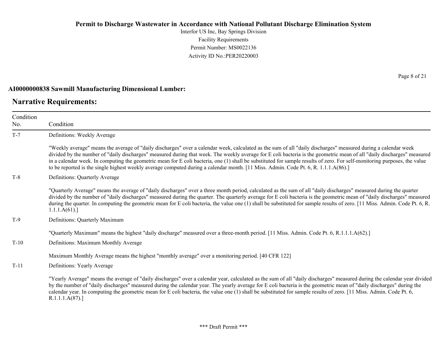Interfor US Inc, Bay Springs Division Facility Requirements Permit Number: MS0022136 Activity ID No.:PER20220003

#### **AI0000000838 Sawmill Manufacturing Dimensional Lumber:**

### **Narrative Requirements:**

Page 8 of 21

| Condition |                                                                                                                                                                                                                                                                                                                                                                                                                                                                                                                                                                                                                                                              |
|-----------|--------------------------------------------------------------------------------------------------------------------------------------------------------------------------------------------------------------------------------------------------------------------------------------------------------------------------------------------------------------------------------------------------------------------------------------------------------------------------------------------------------------------------------------------------------------------------------------------------------------------------------------------------------------|
| No.       | Condition                                                                                                                                                                                                                                                                                                                                                                                                                                                                                                                                                                                                                                                    |
| $T-7$     | Definitions: Weekly Average                                                                                                                                                                                                                                                                                                                                                                                                                                                                                                                                                                                                                                  |
|           | "Weekly average" means the average of "daily discharges" over a calendar week, calculated as the sum of all "daily discharges" measured during a calendar week<br>divided by the number of "daily discharges" measured during that week. The weekly average for E coli bacteria is the geometric mean of all "daily discharges" measured<br>in a calendar week. In computing the geometric mean for E coli bacteria, one (1) shall be substituted for sample results of zero. For self-monitoring purposes, the value<br>to be reported is the single highest weekly average computed during a calendar month. [11 Miss. Admin. Code Pt. 6, R. 1.1.1.A(86).] |
| $T-8$     | Definitions: Quarterly Average                                                                                                                                                                                                                                                                                                                                                                                                                                                                                                                                                                                                                               |
|           | "Quarterly Average" means the average of "daily discharges" over a three month period, calculated as the sum of all "daily discharges" measured during the quarter<br>divided by the number of "daily discharges" measured during the quarter. The quarterly average for E coli bacteria is the geometric mean of "daily discharges" measured<br>during the quarter. In computing the geometric mean for E coli bacteria, the value one (1) shall be substituted for sample results of zero. [11 Miss. Admin. Code Pt. 6, R.<br>1.1.1.A(61).                                                                                                                 |
| $T-9$     | Definitions: Quarterly Maximum                                                                                                                                                                                                                                                                                                                                                                                                                                                                                                                                                                                                                               |
|           | "Quarterly Maximum" means the highest "daily discharge" measured over a three-month period. [11 Miss. Admin. Code Pt. 6, R.1.1.1.A(62).]                                                                                                                                                                                                                                                                                                                                                                                                                                                                                                                     |
| $T-10$    | Definitions: Maximum Monthly Average                                                                                                                                                                                                                                                                                                                                                                                                                                                                                                                                                                                                                         |
|           | Maximum Monthly Average means the highest "monthly average" over a monitoring period. [40 CFR 122]                                                                                                                                                                                                                                                                                                                                                                                                                                                                                                                                                           |
| $T-11$    | Definitions: Yearly Average                                                                                                                                                                                                                                                                                                                                                                                                                                                                                                                                                                                                                                  |
|           | "Yearly Average" means the average of "daily discharges" over a calendar year, calculated as the sum of all "daily discharges" measured during the calendar year divided<br>by the number of "daily discharges" measured during the calendar year. The yearly average for E coli bacteria is the geometric mean of "daily discharges" during the<br>calendar year. In computing the geometric mean for E coli bacteria, the value one (1) shall be substituted for sample results of zero. [11 Miss. Admin. Code Pt. 6,<br>R.1.1.1.A(87).                                                                                                                    |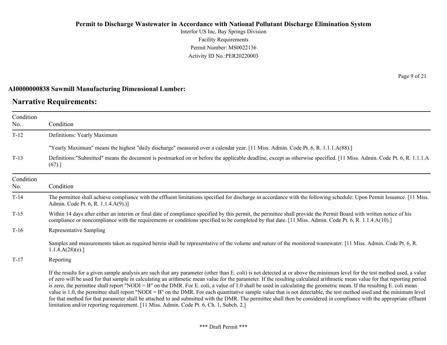Interfor US Inc, Bay Springs Division Facility Requirements Permit Number: MS0022136 Activity ID No.:PER20220003

#### **AI0000000838 Sawmill Manufacturing Dimensional Lumber:**

### **Narrative Requirements:**

No.

No.

Condition Condition T-12 Definitions: Yearly Maximum "Yearly Maximum" means the highest "daily discharge" measured over a calendar year. [11 Miss. Admin. Code Pt. 6, R. 1.1.1.A(88).] T-13 Definitions:"Submitted" means the document is postmarked on or before the applicable deadline, except as otherwise specified. [11 Miss. Admin. Code Pt. 6, R. 1.1.1.A  $(67).$ ] Condition Condition T-14 The permittee shall achieve compliance with the effluent limitations specified for discharge in accordance with the following schedule: Upon Permit Issuance. [11 Miss. Admin. Code Pt. 6, R. 1.1.4.A(9).)] T-15 Within 14 days after either an interim or final date of compliance specified by this permit, the permittee shall provide the Permit Board with written notice of his compliance or noncompliance with the requirements or conditions specified to be completed by that date. [11 Miss. Admin. Code Pt. 6, R. 1.1.4.A(10).] T-16 Representative Sampling Samples and measurements taken as required herein shall be representative of the volume and nature of the monitored wastewater. [11 Miss. Admin. Code Pt. 6, R.  $1.1.4.A(28)(e).$ T-17 Reporting If the results for a given sample analysis are such that any parameter (other than E. coli) is not detected at or above the minimum level for the test method used, a value of zero will be used for that sample in calculating an arithmetic mean value for the parameter. If the resulting calculated arithmetic mean value for that reporting period is zero, the permittee shall report "NODI = B" on the DMR. For E. coli, a value of 1.0 shall be used in calculating the geometric mean. If the resulting E. coli mean

value is 1.0, the permittee shall report "NODI = B" on the DMR. For each quantitative sample value that is not detectable, the test method used and the minimum level for that method for that parameter shall be attached to and submitted with the DMR. The permittee shall then be considered in compliance with the appropriate effluent limitation and/or reporting requirement. [11 Miss. Admin. Code Pt. 6, Ch. 1, Subch. 2.]

Page 9 of 21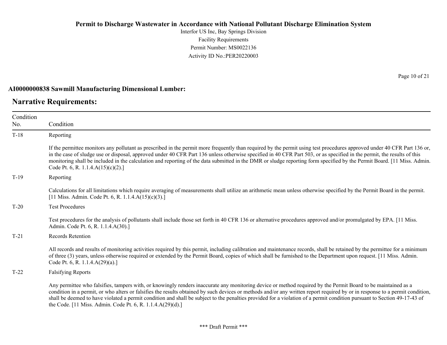Interfor US Inc, Bay Springs Division Facility Requirements Permit Number: MS0022136 Activity ID No.:PER20220003

#### **AI0000000838 Sawmill Manufacturing Dimensional Lumber:**

### **Narrative Requirements:**

| Condition<br>No. | Condition                                                                                                                                                                                                                                                                                                                                                                                                                                                                                                                                                            |
|------------------|----------------------------------------------------------------------------------------------------------------------------------------------------------------------------------------------------------------------------------------------------------------------------------------------------------------------------------------------------------------------------------------------------------------------------------------------------------------------------------------------------------------------------------------------------------------------|
| $T-18$           | Reporting                                                                                                                                                                                                                                                                                                                                                                                                                                                                                                                                                            |
|                  | If the permittee monitors any pollutant as prescribed in the permit more frequently than required by the permit using test procedures approved under 40 CFR Part 136 or,<br>in the case of sludge use or disposal, approved under 40 CFR Part 136 unless otherwise specified in 40 CFR Part 503, or as specified in the permit, the results of this<br>monitoring shall be included in the calculation and reporting of the data submitted in the DMR or sludge reporting form specified by the Permit Board. [11 Miss. Admin.<br>Code Pt. 6, R. 1.1.4.A(15)(c)(2).] |
| $T-19$           | Reporting                                                                                                                                                                                                                                                                                                                                                                                                                                                                                                                                                            |
|                  | Calculations for all limitations which require averaging of measurements shall utilize an arithmetic mean unless otherwise specified by the Permit Board in the permit.<br>[11 Miss. Admin. Code Pt. 6, R. 1.1.4.A(15)(c)(3).]                                                                                                                                                                                                                                                                                                                                       |
| $T-20$           | <b>Test Procedures</b>                                                                                                                                                                                                                                                                                                                                                                                                                                                                                                                                               |
|                  | Test procedures for the analysis of pollutants shall include those set forth in 40 CFR 136 or alternative procedures approved and/or promulgated by EPA. [11 Miss.]<br>Admin. Code Pt. 6, R. 1.1.4.A(30).]                                                                                                                                                                                                                                                                                                                                                           |
| $T-21$           | <b>Records Retention</b>                                                                                                                                                                                                                                                                                                                                                                                                                                                                                                                                             |
|                  | All records and results of monitoring activities required by this permit, including calibration and maintenance records, shall be retained by the permittee for a minimum<br>of three (3) years, unless otherwise required or extended by the Permit Board, copies of which shall be furnished to the Department upon request. [11 Miss. Admin.<br>Code Pt. 6, R. 1.1.4. $A(29)(a)$ .]                                                                                                                                                                               |
| $T-22$           | <b>Falsifying Reports</b>                                                                                                                                                                                                                                                                                                                                                                                                                                                                                                                                            |
|                  | Any permittee who falsifies, tampers with, or knowingly renders inaccurate any monitoring device or method required by the Permit Board to be maintained as a<br>condition in a permit, or who alters or falsifies the results obtained by such devices or methods and/or any written report required by or in response to a permit condition,<br>shall be deemed to have violated a permit condition and shall be subject to the penalties provided for a violation of a permit condition pursuant to Section 49-17-43 of                                           |

the Code. [11 Miss. Admin. Code Pt. 6, R. 1.1.4.A(29)(d).]

Page 10 of 21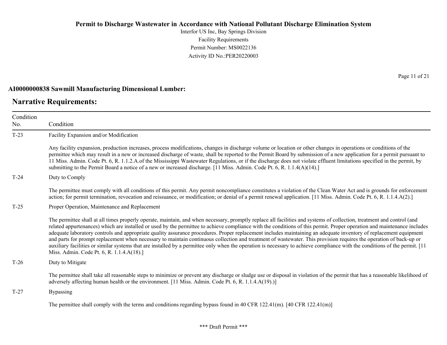Interfor US Inc, Bay Springs Division Facility Requirements Permit Number: MS0022136 Activity ID No.:PER20220003

#### **AI0000000838 Sawmill Manufacturing Dimensional Lumber:**

### **Narrative Requirements:**

Page 11 of 21

| Condition |                                                                                                                                                                                                                                                                                                                                                                                                                                                                                                                                                                                                                                                                                                                                                                                                                                                                                                                           |
|-----------|---------------------------------------------------------------------------------------------------------------------------------------------------------------------------------------------------------------------------------------------------------------------------------------------------------------------------------------------------------------------------------------------------------------------------------------------------------------------------------------------------------------------------------------------------------------------------------------------------------------------------------------------------------------------------------------------------------------------------------------------------------------------------------------------------------------------------------------------------------------------------------------------------------------------------|
| No.       | Condition                                                                                                                                                                                                                                                                                                                                                                                                                                                                                                                                                                                                                                                                                                                                                                                                                                                                                                                 |
| $T-23$    | Facility Expansion and/or Modification                                                                                                                                                                                                                                                                                                                                                                                                                                                                                                                                                                                                                                                                                                                                                                                                                                                                                    |
|           | Any facility expansion, production increases, process modifications, changes in discharge volume or location or other changes in operations or conditions of the<br>permittee which may result in a new or increased discharge of waste, shall be reported to the Permit Board by submission of a new application for a permit pursuant to<br>11 Miss. Admin. Code Pt. 6, R. 1.1.2.A. of the Mississippi Wastewater Regulations, or if the discharge does not violate effluent limitations specified in the permit, by<br>submitting to the Permit Board a notice of a new or increased discharge. [11 Miss. Admin. Code Pt. 6, R. 1.1.4(A)(14).]                                                                                                                                                                                                                                                                         |
| $T-24$    | Duty to Comply                                                                                                                                                                                                                                                                                                                                                                                                                                                                                                                                                                                                                                                                                                                                                                                                                                                                                                            |
|           | The permittee must comply with all conditions of this permit. Any permit noncompliance constitutes a violation of the Clean Water Act and is grounds for enforcement<br>action; for permit termination, revocation and reissuance, or modification; or denial of a permit renewal application. [11 Miss. Admin. Code Pt. 6, R. 1.1.4.A(2).]                                                                                                                                                                                                                                                                                                                                                                                                                                                                                                                                                                               |
| $T-25$    | Proper Operation, Maintenance and Replacement                                                                                                                                                                                                                                                                                                                                                                                                                                                                                                                                                                                                                                                                                                                                                                                                                                                                             |
|           | The permittee shall at all times properly operate, maintain, and when necessary, promptly replace all facilities and systems of collection, treatment and control (and<br>related appurtenances) which are installed or used by the permittee to achieve compliance with the conditions of this permit. Proper operation and maintenance includes<br>adequate laboratory controls and appropriate quality assurance procedures. Proper replacement includes maintaining an adequate inventory of replacement equipment<br>and parts for prompt replacement when necessary to maintain continuous collection and treatment of wastewater. This provision requires the operation of back-up or<br>auxiliary facilities or similar systems that are installed by a permittee only when the operation is necessary to achieve compliance with the conditions of the permit. [11]<br>Miss. Admin. Code Pt. 6, R. 1.1.4.A(18).] |
| $T-26$    | Duty to Mitigate                                                                                                                                                                                                                                                                                                                                                                                                                                                                                                                                                                                                                                                                                                                                                                                                                                                                                                          |
|           | The permittee shall take all reasonable steps to minimize or prevent any discharge or sludge use or disposal in violation of the permit that has a reasonable likelihood of<br>adversely affecting human health or the environment. [11 Miss. Admin. Code Pt. 6, R. 1.1.4.A(19).)]                                                                                                                                                                                                                                                                                                                                                                                                                                                                                                                                                                                                                                        |
| $T-27$    | <b>Bypassing</b>                                                                                                                                                                                                                                                                                                                                                                                                                                                                                                                                                                                                                                                                                                                                                                                                                                                                                                          |
|           | The permittee shall comply with the terms and conditions regarding bypass found in 40 CFR 122.41(m). [40 CFR 122.41(m)]                                                                                                                                                                                                                                                                                                                                                                                                                                                                                                                                                                                                                                                                                                                                                                                                   |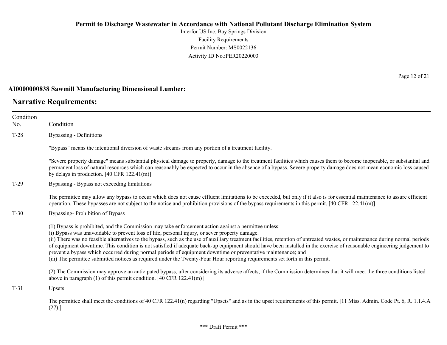Interfor US Inc, Bay Springs Division Facility Requirements Permit Number: MS0022136 Activity ID No.:PER20220003

#### **AI0000000838 Sawmill Manufacturing Dimensional Lumber:**

### **Narrative Requirements:**

Condition No. Condition T-28 Bypassing - Definitions "Bypass" means the intentional diversion of waste streams from any portion of a treatment facility. "Severe property damage" means substantial physical damage to property, damage to the treatment facilities which causes them to become inoperable, or substantial and permanent loss of natural resources which can reasonably be expected to occur in the absence of a bypass. Severe property damage does not mean economic loss caused by delays in production. [40 CFR 122.41(m)] T-29 Bypassing - Bypass not exceeding limitations The permittee may allow any bypass to occur which does not cause effluent limitations to be exceeded, but only if it also is for essential maintenance to assure efficient operation. These bypasses are not subject to the notice and prohibition provisions of the bypass requirements in this permit. [40 CFR 122.41(m)] T-30 Bypassing- Prohibition of Bypass (1) Bypass is prohibited, and the Commission may take enforcement action against a permittee unless: (i) Bypass was unavoidable to prevent loss of life, personal injury, or sever property damage. (ii) There was no feasible alternatives to the bypass, such as the use of auxiliary treatment facilities, retention of untreated wastes, or maintenance during normal periods of equipment downtime. This condition is not satisfied if adequate back-up equipment should have been installed in the exercise of reasonable engineering judgement to prevent a bypass which occurred during normal periods of equipment downtime or preventative maintenance; and (iii) The permittee submitted notices as required under the Twenty-Four Hour reporting requirements set forth in this permit. (2) The Commission may approve an anticipated bypass, after considering its adverse affects, if the Commission determines that it will meet the three conditions listed above in paragraph (1) of this permit condition. [40 CFR 122.41(m)] T-31 Upsets The permittee shall meet the conditions of 40 CFR 122.41(n) regarding "Upsets" and as in the upset requirements of this permit. [11 Miss. Admin. Code Pt. 6, R. 1.1.4.A

(27).]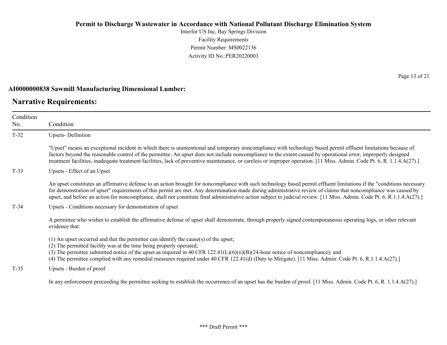Interfor US Inc, Bay Springs Division Facility Requirements Permit Number: MS0022136 Activity ID No.:PER20220003

#### **AI0000000838 Sawmill Manufacturing Dimensional Lumber:**

### **Narrative Requirements:**

Page 13 of 21

| Condition<br>No. | Condition                                                                                                                                                                                                                                                                                                                                                                                                                                                                                                             |
|------------------|-----------------------------------------------------------------------------------------------------------------------------------------------------------------------------------------------------------------------------------------------------------------------------------------------------------------------------------------------------------------------------------------------------------------------------------------------------------------------------------------------------------------------|
| $T-32$           | <b>Upsets-Definition</b>                                                                                                                                                                                                                                                                                                                                                                                                                                                                                              |
|                  | "Upset" means an exceptional incident in which there is unintentional and temporary noncompliance with technology based permit effluent limitations because of<br>factors beyond the reasonable control of the permittee. An upset does not include noncompliance to the extent caused by operational error, improperly designed<br>treatment facilities, inadequate treatment facilities, lack of preventive maintenance, or careless or improper operation. [11 Miss. Admin. Code Pt. 6, R. 1.1.4.A(27).]           |
| $T-33$           | Upsets - Effect of an Upset                                                                                                                                                                                                                                                                                                                                                                                                                                                                                           |
|                  | An upset constitutes an affirmative defense to an action brought for noncompliance with such technology based permit effluent limitations if the "conditions necessary<br>for demonstration of upset" requirements of this permit are met. Any determination made during administrative review of claims that noncompliance was caused by<br>upset, and before an action for noncompliance, shall not constitute final administrative action subject to judicial review. [11 Miss. Admin. Code Pt. 6, R.1.1.4.A(27).] |
| $T-34$           | Upsets - Conditions necessary for demonstration of upset                                                                                                                                                                                                                                                                                                                                                                                                                                                              |
|                  | A permittee who wishes to establish the affirmative defense of upset shall demonstrate, through properly signed contemporaneous operating logs, or other relevant<br>evidence that:                                                                                                                                                                                                                                                                                                                                   |
|                  | (1) An upset occurred and that the permittee can identify the cause(s) of the upset;<br>(2) The permitted facility was at the time being properly operated;<br>(3) The permittee submitted notice of the upset as required in 40 CFR $122.41(L)(6)(ii)(B)(24$ -hour notice of noncompliance); and<br>(4) The permittee complied with any remedial measures required under 40 CFR 122.41(d) (Duty to Mitigate). [11 Miss. Admin. Code Pt. 6, R.1.1.4.A(27).]                                                           |
| $T-35$           | Upsets - Burden of proof                                                                                                                                                                                                                                                                                                                                                                                                                                                                                              |
|                  | In any enforcement proceeding the permittee seeking to establish the occurrence of an upset has the burden of proof. [11 Miss. Admin. Code Pt. 6, R. 1.1.4.A(27).]                                                                                                                                                                                                                                                                                                                                                    |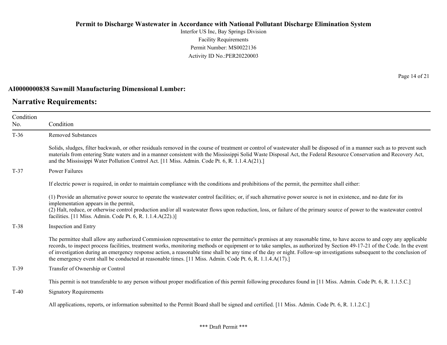Interfor US Inc, Bay Springs Division Facility Requirements Permit Number: MS0022136 Activity ID No.:PER20220003

#### **AI0000000838 Sawmill Manufacturing Dimensional Lumber:**

### **Narrative Requirements:**

Page 14 of 21

| Condition<br>No. | Condition                                                                                                                                                                                                                                                                                                                                                                                                                                                                                                                                                                                                                                  |
|------------------|--------------------------------------------------------------------------------------------------------------------------------------------------------------------------------------------------------------------------------------------------------------------------------------------------------------------------------------------------------------------------------------------------------------------------------------------------------------------------------------------------------------------------------------------------------------------------------------------------------------------------------------------|
| $T-36$           | <b>Removed Substances</b>                                                                                                                                                                                                                                                                                                                                                                                                                                                                                                                                                                                                                  |
|                  | Solids, sludges, filter backwash, or other residuals removed in the course of treatment or control of wastewater shall be disposed of in a manner such as to prevent such<br>materials from entering State waters and in a manner consistent with the Mississippi Solid Waste Disposal Act, the Federal Resource Conservation and Recovery Act,<br>and the Mississippi Water Pollution Control Act. [11 Miss. Admin. Code Pt. 6, R. 1.1.4.A(21).]                                                                                                                                                                                          |
| $T-37$           | <b>Power Failures</b>                                                                                                                                                                                                                                                                                                                                                                                                                                                                                                                                                                                                                      |
|                  | If electric power is required, in order to maintain compliance with the conditions and prohibitions of the permit, the permittee shall either:                                                                                                                                                                                                                                                                                                                                                                                                                                                                                             |
|                  | (1) Provide an alternative power source to operate the wastewater control facilities; or, if such alternative power source is not in existence, and no date for its<br>implementation appears in the permit,<br>(2) Halt, reduce, or otherwise control production and/or all wastewater flows upon reduction, loss, or failure of the primary source of power to the wastewater control<br>facilities. [11 Miss. Admin. Code Pt. 6, R. 1.1.4.A(22).)]                                                                                                                                                                                      |
| $T-38$           | Inspection and Entry                                                                                                                                                                                                                                                                                                                                                                                                                                                                                                                                                                                                                       |
|                  | The permittee shall allow any authorized Commission representative to enter the permittee's premises at any reasonable time, to have access to and copy any applicable<br>records, to inspect process facilities, treatment works, monitoring methods or equipment or to take samples, as authorized by Section 49-17-21 of the Code. In the event<br>of investigation during an emergency response action, a reasonable time shall be any time of the day or night. Follow-up investigations subsequent to the conclusion of<br>the emergency event shall be conducted at reasonable times. [11 Miss. Admin. Code Pt. 6, R. 1.1.4.A(17).] |
| $T-39$           | Transfer of Ownership or Control                                                                                                                                                                                                                                                                                                                                                                                                                                                                                                                                                                                                           |
| $T-40$           | This permit is not transferable to any person without proper modification of this permit following procedures found in [11 Miss. Admin. Code Pt. 6, R. 1.1.5.C.]<br><b>Signatory Requirements</b>                                                                                                                                                                                                                                                                                                                                                                                                                                          |
|                  | All applications, reports, or information submitted to the Permit Board shall be signed and certified. [11 Miss. Admin. Code Pt. 6, R. 1.1.2.C.]                                                                                                                                                                                                                                                                                                                                                                                                                                                                                           |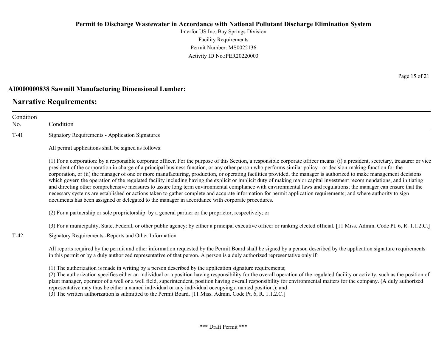Interfor US Inc, Bay Springs Division Facility Requirements Permit Number: MS0022136 Activity ID No.:PER20220003

#### **AI0000000838 Sawmill Manufacturing Dimensional Lumber:**

### **Narrative Requirements:**

Condition No. Condition T-41 Signatory Requirements - Application Signatures All permit applications shall be signed as follows: (1) For a corporation: by a responsible corporate officer. For the purpose of this Section, a responsible corporate officer means: (i) a president, secretary, treasurer or vice president of the corporation in charge of a principal business function, or any other person who performs similar policy - or decision-making function for the corporation, or (ii) the manager of one or more manufacturing, production, or operating facilities provided, the manager is authorized to make management decisions which govern the operation of the regulated facility including having the explicit or implicit duty of making major capital investment recommendations, and initiating and directing other comprehensive measures to assure long term environmental compliance with environmental laws and regulations; the manager can ensure that the necessary systems are established or actions taken to gather complete and accurate information for permit application requirements; and where authority to sign documents has been assigned or delegated to the manager in accordance with corporate procedures. (2) For a partnership or sole proprietorship: by a general partner or the proprietor, respectively; or (3) For a municipality, State, Federal, or other public agency: by either a principal executive officer or ranking elected official. [11 Miss. Admin. Code Pt. 6, R. 1.1.2.C.] T-42 Signatory Requirements -Reports and Other Information All reports required by the permit and other information requested by the Permit Board shall be signed by a person described by the application signature requirements in this permit or by a duly authorized representative of that person. A person is a duly authorized representative only if: (1) The authorization is made in writing by a person described by the application signature requirements; (2) The authorization specifies either an individual or a position having responsibility for the overall operation of the regulated facility or activity, such as the position of plant manager, operator of a well or a well field, superintendent, position having overall responsibility for environmental matters for the company. (A duly authorized representative may thus be either a named individual or any individual occupying a named position.); and

(3) The written authorization is submitted to the Permit Board. [11 Miss. Admin. Code Pt. 6, R. 1.1.2.C.]

Page 15 of 21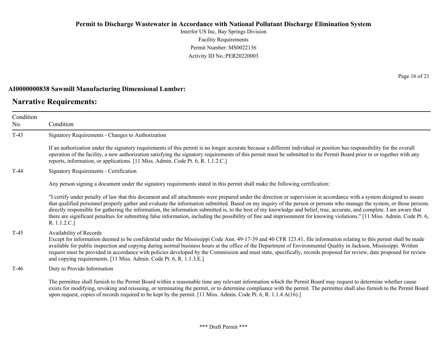Interfor US Inc, Bay Springs Division Facility Requirements Permit Number: MS0022136 Activity ID No.:PER20220003

#### **AI0000000838 Sawmill Manufacturing Dimensional Lumber:**

### **Narrative Requirements:**

No.

Condition Condition T-43 Signatory Requirements - Changes to Authorization If an authorization under the signatory requirements of this permit is no longer accurate because a different individual or position has responsibility for the overall operation of the facility, a new authorization satisfying the signatory requirements of this permit must be submitted to the Permit Board prior to or together with any reports, information, or applications. [11 Miss. Admin. Code Pt. 6, R. 1.1.2.C.] T-44 Signatory Requirements - Certification Any person signing a document under the signatory requirements stated in this permit shall make the following certification: "I certify under penalty of law that this document and all attachments were prepared under the direction or supervision in accordance with a system designed to assure that qualified personnel properly gather and evaluate the information submitted. Based on my inquiry of the person or persons who manage the system, or those persons directly responsible for gathering the information, the information submitted is, to the best of my knowledge and belief, true, accurate, and complete. I am aware that there are significant penalties for submitting false information, including the possibility of fine and imprisonment for knowing violations." [11 Miss. Admin. Code Pt. 6, R. 1.1.2.C.] T-45 Availability of Records Except for information deemed to be confidential under the Mississippi Code Ann. 49-17-39 and 40 CFR 123.41, file information relating to this permit shall be made available for public inspection and copying during normal business hours at the office of the Department of Environmental Quality in Jackson, Mississippi. Written request must be provided in accordance with policies developed by the Commission and must state, specifically, records proposed for review, date proposed for review and copying requirements. [11 Miss. Admin. Code Pt. 6, R. 1.1.3.E.] T-46 Duty to Provide Information The permittee shall furnish to the Permit Board within a reasonable time any relevant information which the Permit Board may request to determine whether cause

exists for modifying, revoking and reissuing, or terminating the permit, or to determine compliance with the permit. The permittee shall also furnish to the Permit Board upon request, copies of records required to be kept by the permit. [11 Miss. Admin. Code Pt. 6, R. 1.1.4.A(16).]

Page 16 of 21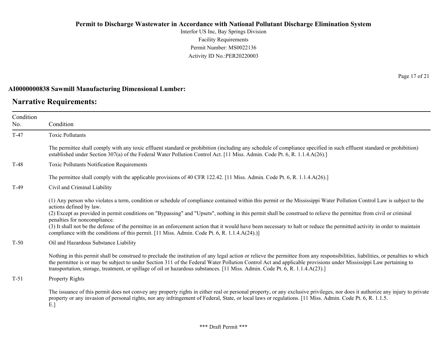Interfor US Inc, Bay Springs Division Facility Requirements Permit Number: MS0022136 Activity ID No.:PER20220003

#### **AI0000000838 Sawmill Manufacturing Dimensional Lumber:**

### **Narrative Requirements:**

Page 17 of 21

| Condition |                                                                                                                                                                                                                                                                                                                                                                                                                                                                                                                                                                                                                                                                                      |
|-----------|--------------------------------------------------------------------------------------------------------------------------------------------------------------------------------------------------------------------------------------------------------------------------------------------------------------------------------------------------------------------------------------------------------------------------------------------------------------------------------------------------------------------------------------------------------------------------------------------------------------------------------------------------------------------------------------|
| No.       | Condition                                                                                                                                                                                                                                                                                                                                                                                                                                                                                                                                                                                                                                                                            |
| $T-47$    | <b>Toxic Pollutants</b>                                                                                                                                                                                                                                                                                                                                                                                                                                                                                                                                                                                                                                                              |
|           | The permittee shall comply with any toxic effluent standard or prohibition (including any schedule of compliance specified in such effluent standard or prohibition)<br>established under Section 307(a) of the Federal Water Pollution Control Act. [11 Miss. Admin. Code Pt. 6, R. 1.1.4.A(26).]                                                                                                                                                                                                                                                                                                                                                                                   |
| $T-48$    | Toxic Pollutants Notification Requirements                                                                                                                                                                                                                                                                                                                                                                                                                                                                                                                                                                                                                                           |
|           | The permittee shall comply with the applicable provisions of 40 CFR 122.42. [11 Miss. Admin. Code Pt. 6, R. 1.1.4.A(26).]                                                                                                                                                                                                                                                                                                                                                                                                                                                                                                                                                            |
| $T-49$    | Civil and Criminal Liability                                                                                                                                                                                                                                                                                                                                                                                                                                                                                                                                                                                                                                                         |
|           | (1) Any person who violates a term, condition or schedule of compliance contained within this permit or the Mississippi Water Pollution Control Law is subject to the<br>actions defined by law.<br>(2) Except as provided in permit conditions on "Bypassing" and "Upsets", nothing in this permit shall be construed to relieve the permittee from civil or criminal<br>penalties for noncompliance.<br>(3) It shall not be the defense of the permittee in an enforcement action that it would have been necessary to halt or reduce the permitted activity in order to maintain<br>compliance with the conditions of this permit. [11 Miss. Admin. Code Pt. 6, R. 1.1.4.A(24).)] |
| $T-50$    | Oil and Hazardous Substance Liability                                                                                                                                                                                                                                                                                                                                                                                                                                                                                                                                                                                                                                                |
|           | Nothing in this permit shall be construed to preclude the institution of any legal action or relieve the permittee from any responsibilities, liabilities, or penalties to which<br>the permittee is or may be subject to under Section 311 of the Federal Water Pollution Control Act and applicable provisions under Mississippi Law pertaining to<br>transportation, storage, treatment, or spillage of oil or hazardous substances. [11 Miss. Admin. Code Pt. 6, R. 1.1.4.A(23).]                                                                                                                                                                                                |
| $T-51$    | Property Rights                                                                                                                                                                                                                                                                                                                                                                                                                                                                                                                                                                                                                                                                      |
|           | The issuance of this permit does not convey any property rights in either real or personal property, or any exclusive privileges, nor does it authorize any injury to private<br>property or any invasion of personal rights, nor any infringement of Federal, State, or local laws or regulations. [11 Miss. Admin. Code Pt. 6, R. 1.1.5.]<br>E.]                                                                                                                                                                                                                                                                                                                                   |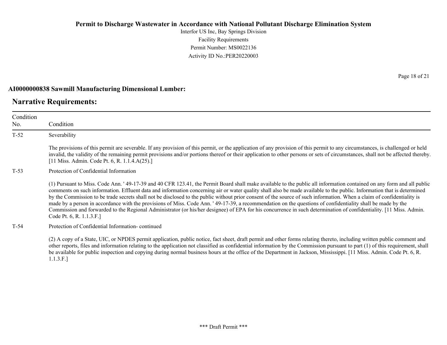Interfor US Inc, Bay Springs Division Facility Requirements Permit Number: MS0022136 Activity ID No.:PER20220003

#### **AI0000000838 Sawmill Manufacturing Dimensional Lumber:**

### **Narrative Requirements:**

Condition No. Condition T-52 Severability The provisions of this permit are severable. If any provision of this permit, or the application of any provision of this permit to any circumstances, is challenged or held invalid, the validity of the remaining permit provisions and/or portions thereof or their application to other persons or sets of circumstances, shall not be affected thereby. [11 Miss. Admin. Code Pt. 6, R. 1.1.4.A(25).] T-53 Protection of Confidential Information (1) Pursuant to Miss. Code Ann. ' 49-17-39 and 40 CFR 123.41, the Permit Board shall make available to the public all information contained on any form and all public comments on such information. Effluent data and information concerning air or water quality shall also be made available to the public. Information that is determined by the Commission to be trade secrets shall not be disclosed to the public without prior consent of the source of such information. When a claim of confidentiality is made by a person in accordance with the provisions of Miss. Code Ann. ' 49-17-39, a recommendation on the questions of confidentiality shall be made by the Commission and forwarded to the Regional Administrator (or his/her designee) of EPA for his concurrence in such determination of confidentiality. [11 Miss. Admin. Code Pt. 6, R. 1.1.3.F.] T-54 Protection of Confidential Information- continued (2) A copy of a State, UIC, or NPDES permit application, public notice, fact sheet, draft permit and other forms relating thereto, including written public comment and

other reports, files and information relating to the application not classified as confidential information by the Commission pursuant to part (1) of this requirement, shall be available for public inspection and copying during normal business hours at the office of the Department in Jackson, Mississippi. [11 Miss. Admin. Code Pt. 6, R. 1.1.3.F.]

Page 18 of 21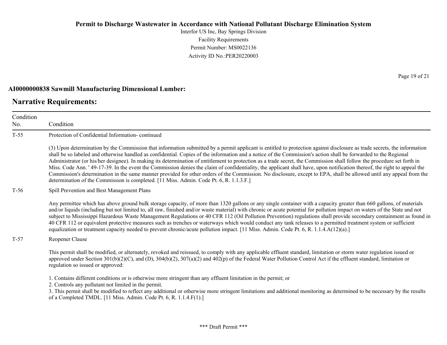Interfor US Inc, Bay Springs Division Facility Requirements Permit Number: MS0022136 Activity ID No.:PER20220003

#### **AI0000000838 Sawmill Manufacturing Dimensional Lumber:**

### **Narrative Requirements:**

No.

Condition Condition T-55 Protection of Confidential Information- continued (3) Upon determination by the Commission that information submitted by a permit applicant is entitled to protection against disclosure as trade secrets, the information shall be so labeled and otherwise handled as confidential. Copies of the information and a notice of the Commission's action shall be forwarded to the Regional Administrator (or his/her designee). In making its determination of entitlement to protection as a trade secret, the Commission shall follow the procedure set forth in Miss. Code Ann. ' 49-17-39. In the event the Commission denies the claim of confidentiality, the applicant shall have, upon notification thereof, the right to appeal the Commission's determination in the same manner provided for other orders of the Commission. No disclosure, except to EPA, shall be allowed until any appeal from the determination of the Commission is completed. [11 Miss. Admin. Code Pt. 6, R. 1.1.3.F.] T-56 Spill Prevention and Best Management Plans Any permittee which has above ground bulk storage capacity, of more than 1320 gallons or any single container with a capacity greater than 660 gallons, of materials and/or liquids (including but not limited to, all raw, finished and/or waste material) with chronic or acute potential for pollution impact on waters of the State and not subject to Mississippi Hazardous Waste Management Regulations or 40 CFR 112 (Oil Pollution Prevention) regulations shall provide secondary containment as found in 40 CFR 112 or equivalent protective measures such as trenches or waterways which would conduct any tank releases to a permitted treatment system or sufficient equalization or treatment capacity needed to prevent chronic/acute pollution impact. [11 Miss. Admin. Code Pt. 6, R. 1.1.4.A(12)(a).] T-57 Reopener Clause This permit shall be modified, or alternately, revoked and reissued, to comply with any applicable effluent standard, limitation or storm water regulation issued or approved under Section  $301(b)(2)(C)$ , and  $(D)$ ,  $304(b)(2)$ ,  $307(a)(2)$  and  $402(p)$  of the Federal Water Pollution Control Act if the effluent standard, limitation or regulation so issued or approved: 1. Contains different conditions or is otherwise more stringent than any effluent limitation in the permit; or 2. Controls any pollutant not limited in the permit. 3. This permit shall be modified to reflect any additional or otherwise more stringent limitations and additional monitoring as determined to be necessary by the results of a Completed TMDL. [11 Miss. Admin. Code Pt. 6, R. 1.1.4.F(1).]

Page 19 of 21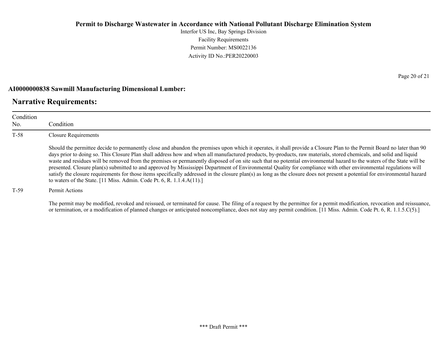Interfor US Inc, Bay Springs Division Facility Requirements Permit Number: MS0022136 Activity ID No.:PER20220003

#### **AI0000000838 Sawmill Manufacturing Dimensional Lumber:**

### **Narrative Requirements:**

| Condition<br>No. | Condition                                                                                                                                                                                                                                                                                                                                                                                                                                                                                                                                                                                                                                                                                                                                                                                                                                                                                                                                          |
|------------------|----------------------------------------------------------------------------------------------------------------------------------------------------------------------------------------------------------------------------------------------------------------------------------------------------------------------------------------------------------------------------------------------------------------------------------------------------------------------------------------------------------------------------------------------------------------------------------------------------------------------------------------------------------------------------------------------------------------------------------------------------------------------------------------------------------------------------------------------------------------------------------------------------------------------------------------------------|
| $T-58$           | <b>Closure Requirements</b>                                                                                                                                                                                                                                                                                                                                                                                                                                                                                                                                                                                                                                                                                                                                                                                                                                                                                                                        |
|                  | Should the permittee decide to permanently close and abandon the premises upon which it operates, it shall provide a Closure Plan to the Permit Board no later than 90<br>days prior to doing so. This Closure Plan shall address how and when all manufactured products, by-products, raw materials, stored chemicals, and solid and liquid<br>waste and residues will be removed from the premises or permanently disposed of on site such that no potential environmental hazard to the waters of the State will be<br>presented. Closure plan(s) submitted to and approved by Mississippi Department of Environmental Quality for compliance with other environmental regulations will<br>satisfy the closure requirements for those items specifically addressed in the closure plan(s) as long as the closure does not present a potential for environmental hazard<br>to waters of the State. [11 Miss. Admin. Code Pt. 6, R. 1.1.4.A(11).] |
| $T-59$           | Permit Actions                                                                                                                                                                                                                                                                                                                                                                                                                                                                                                                                                                                                                                                                                                                                                                                                                                                                                                                                     |

The permit may be modified, revoked and reissued, or terminated for cause. The filing of a request by the permittee for a permit modification, revocation and reissuance, or termination, or a modification of planned changes or anticipated noncompliance, does not stay any permit condition. [11 Miss. Admin. Code Pt. 6, R. 1.1.5.C(5).]

Page 20 of 21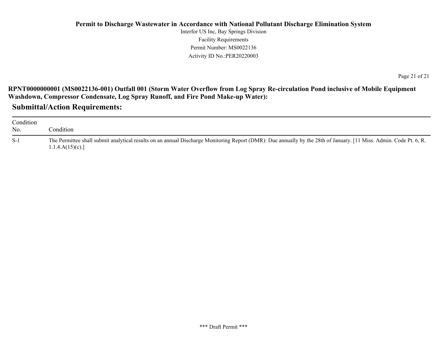Interfor US Inc, Bay Springs Division Facility Requirements Permit Number: MS0022136 Activity ID No.:PER20220003

Page 21 of 21

**RPNT0000000001 (MS0022136-001) Outfall 001 (Storm Water Overflow from Log Spray Re-circulation Pond inclusive of Mobile Equipment Washdown, Compressor Condensate, Log Spray Runoff, and Fire Pond Make-up Water):**

**Submittal/Action Requirements:**

| Condition<br>No. | condition.                                                                                                                                                                            |
|------------------|---------------------------------------------------------------------------------------------------------------------------------------------------------------------------------------|
| $S-1$            | The Permittee shall submit analytical results on an annual Discharge Monitoring Report (DMR): Due annually by the 28th of January. [11 Miss. Admin. Code Pt. 6, R.<br>1.1.4.A(15)(c). |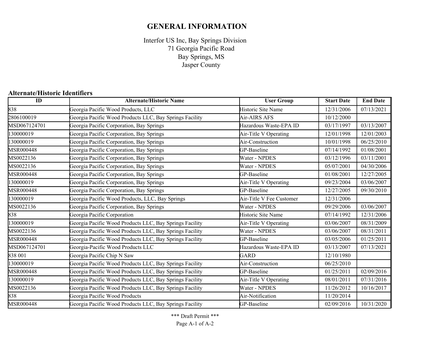## **GENERAL INFORMATION**

Interfor US Inc, Bay Springs Division Bay Springs, MS Jasper County 71 Georgia Pacific Road

### **Alternate/Historic Identifiers**

| $\overline{ID}$ | <b>Alternate/Historic Name</b>                          | <b>User Group</b>        | <b>Start Date</b> | <b>End Date</b> |
|-----------------|---------------------------------------------------------|--------------------------|-------------------|-----------------|
| 838             | Georgia Pacific Wood Products, LLC                      | Historic Site Name       | 12/31/2006        | 07/13/2021      |
| 2806100019      | Georgia Pacific Wood Products LLC, Bay Springs Facility | Air-AIRS AFS             | 10/12/2000        |                 |
| MSD067124701    | Georgia Pacific Corporation, Bay Springs                | Hazardous Waste-EPA ID   | 03/17/1997        | 03/13/2007      |
| 130000019       | Georgia Pacific Corporation, Bay Springs                | Air-Title V Operating    | 12/01/1998        | 12/01/2003      |
| 130000019       | Georgia Pacific Corporation, Bay Springs                | Air-Construction         | 10/01/1998        | 06/25/2010      |
| MSR000448       | Georgia Pacific Corporation, Bay Springs                | GP-Baseline              | 07/14/1992        | 01/08/2001      |
| MS0022136       | Georgia Pacific Corporation, Bay Springs                | Water - NPDES            | 03/12/1996        | 03/11/2001      |
| MS0022136       | Georgia Pacific Corporation, Bay Springs                | Water - NPDES            | 05/07/2001        | 04/30/2006      |
| MSR000448       | Georgia Pacific Corporation, Bay Springs                | GP-Baseline              | 01/08/2001        | 12/27/2005      |
| 130000019       | Georgia Pacific Corporation, Bay Springs                | Air-Title V Operating    | 09/23/2004        | 03/06/2007      |
| MSR000448       | Georgia Pacific Corporation, Bay Springs                | GP-Baseline              | 12/27/2005        | 09/30/2010      |
| 130000019       | Georgia Pacific Wood Products, LLC, Bay Springs         | Air-Title V Fee Customer | 12/31/2006        |                 |
| MS0022136       | Georgia Pacific Corporation, Bay Springs                | Water - NPDES            | 09/29/2006        | 03/06/2007      |
| 838             | Georgia Pacific Corporation                             | Historic Site Name       | 07/14/1992        | 12/31/2006      |
| 130000019       | Georgia Pacific Wood Products LLC, Bay Springs Facility | Air-Title V Operating    | 03/06/2007        | 08/31/2009      |
| MS0022136       | Georgia Pacific Wood Products LLC, Bay Springs Facility | Water - NPDES            | 03/06/2007        | 08/31/2011      |
| MSR000448       | Georgia Pacific Wood Products LLC, Bay Springs Facility | GP-Baseline              | 03/05/2006        | 01/25/2011      |
| MSD067124701    | Georgia-Pacific Wood Products LLC                       | Hazardous Waste-EPA ID   | 03/13/2007        | 07/13/2021      |
| 838 001         | Georgia Pacific Chip N Saw                              | <b>GARD</b>              | 12/10/1980        |                 |
| 130000019       | Georgia Pacific Wood Products LLC, Bay Springs Facility | Air-Construction         | 06/25/2010        |                 |
| MSR000448       | Georgia Pacific Wood Products LLC, Bay Springs Facility | GP-Baseline              | 01/25/2011        | 02/09/2016      |
| 130000019       | Georgia Pacific Wood Products LLC, Bay Springs Facility | Air-Title V Operating    | 08/01/2011        | 07/31/2016      |
| MS0022136       | Georgia Pacific Wood Products LLC, Bay Springs Facility | Water - NPDES            | 11/26/2012        | 10/16/2017      |
| 838             | Georgia Pacific Wood Products                           | Air-Notification         | 11/20/2014        |                 |
| MSR000448       | Georgia Pacific Wood Products LLC, Bay Springs Facility | GP-Baseline              | 02/09/2016        | 10/31/2020      |